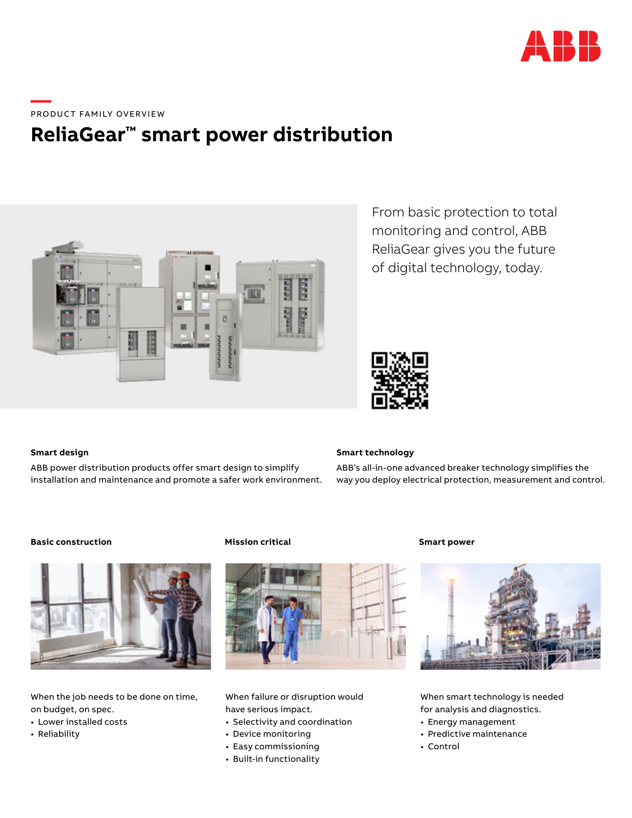

**—**  PRODUCT FAMILY OVERVIEW

# **ReliaGear™ smart power distribution**



From basic protection to total monitoring and control, ABB ReliaGear gives you the future of digital technology, today.



## **Smart design**

ABB power distribution products offer smart design to simplify installation and maintenance and promote a safer work environment.

## **Smart technology**

ABB's all-in-one advanced breaker technology simplifies the way you deploy electrical protection, measurement and control.

## **Basic construction Mission critical Smart power**



When the job needs to be done on time, on budget, on spec.

- Lower installed costs
- Reliability



When failure or disruption would have serious impact.

- Selectivity and coordination
- Device monitoring
- Easy commissioning
- Built-in functionality



When smart technology is needed for analysis and diagnostics.

- Energy management
- Predictive maintenance
- Control